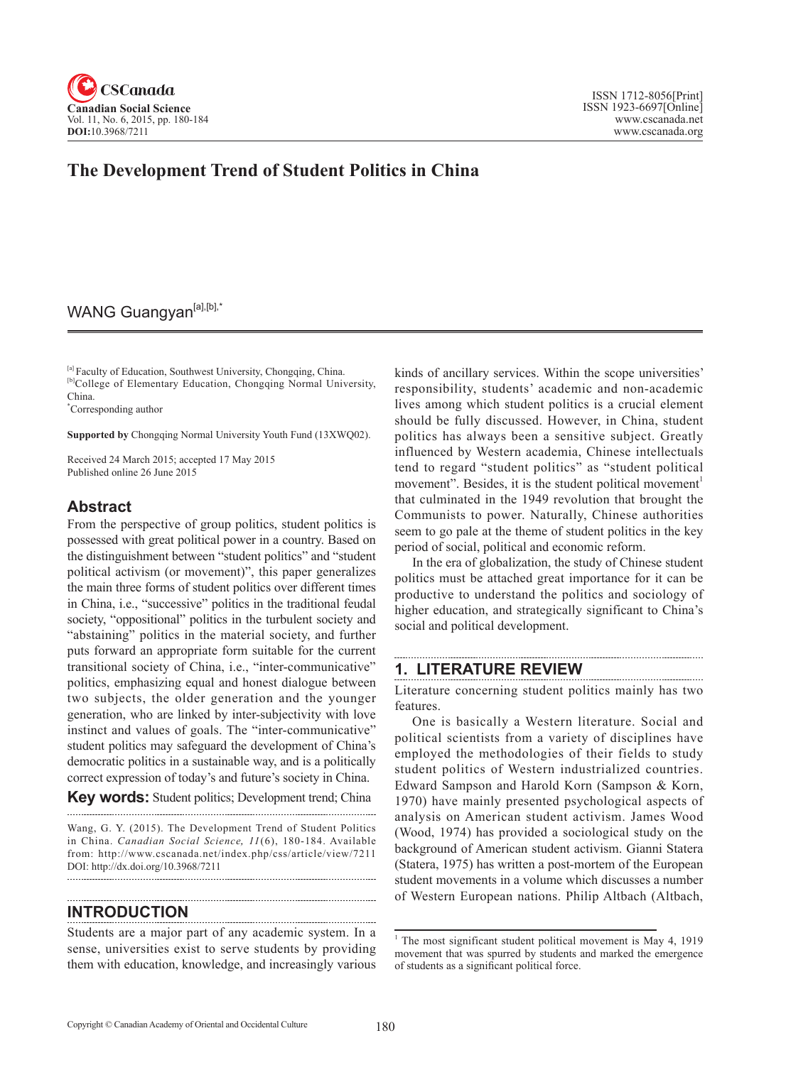

# **The Development Trend of Student Politics in China**

# WANG Guangyan<sup>[a],[b],\*</sup>

<sup>[a]</sup> Faculty of Education, Southwest University, Chongqing, China. <sup>[b]</sup>College of Elementary Education, Chongqing Normal University, China.

\* Corresponding author

**Supported by** Chongqing Normal University Youth Fund (13XWQ02).

Received 24 March 2015; accepted 17 May 2015 Published online 26 June 2015

### **Abstract**

From the perspective of group politics, student politics is possessed with great political power in a country. Based on the distinguishment between "student politics" and "student political activism (or movement)", this paper generalizes the main three forms of student politics over different times in China, i.e., "successive" politics in the traditional feudal society, "oppositional" politics in the turbulent society and "abstaining" politics in the material society, and further puts forward an appropriate form suitable for the current transitional society of China, i.e., "inter-communicative" politics, emphasizing equal and honest dialogue between two subjects, the older generation and the younger generation, who are linked by inter-subjectivity with love instinct and values of goals. The "inter-communicative" student politics may safeguard the development of China's democratic politics in a sustainable way, and is a politically correct expression of today's and future's society in China.

**Key words:** Student politics; Development trend; China

Wang, G. Y. (2015). The Development Trend of Student Politics in China. *Canadian Social Science*, <sup>11</sup> (6), 180-184. Available from: http://www.cscanada.net/index.php/css/article/view/7211 DOI: http://dx.doi.org/10.3968/7211 

### **INTRODUCTION**

Students are a major part of any academic system. In a sense, universities exist to serve students by providing them with education, knowledge, and increasingly various kinds of ancillary services. Within the scope universities' responsibility, students' academic and non-academic lives among which student politics is a crucial element should be fully discussed. However, in China, student politics has always been a sensitive subject. Greatly influenced by Western academia, Chinese intellectuals tend to regard "student politics" as "student political movement". Besides, it is the student political movement<sup>1</sup> that culminated in the 1949 revolution that brought the Communists to power. Naturally, Chinese authorities seem to go pale at the theme of student politics in the key period of social, political and economic reform.

In the era of globalization, the study of Chinese student politics must be attached great importance for it can be productive to understand the politics and sociology of higher education, and strategically significant to China's social and political development.

### **1. LITERATURE REVIEW**

Literature concerning student politics mainly has two features.

One is basically a Western literature. Social and political scientists from a variety of disciplines have employed the methodologies of their fields to study student politics of Western industrialized countries. Edward Sampson and Harold Korn (Sampson & Korn, 1970) have mainly presented psychological aspects of analysis on American student activism. James Wood (Wood, 1974) has provided a sociological study on the background of American student activism. Gianni Statera (Statera, 1975) has written a post-mortem of the European student movements in a volume which discusses a number of Western European nations. Philip Altbach (Altbach,

<sup>&</sup>lt;sup>1</sup> The most significant student political movement is May 4, 1919 movement that was spurred by students and marked the emergence of students as a significant political force.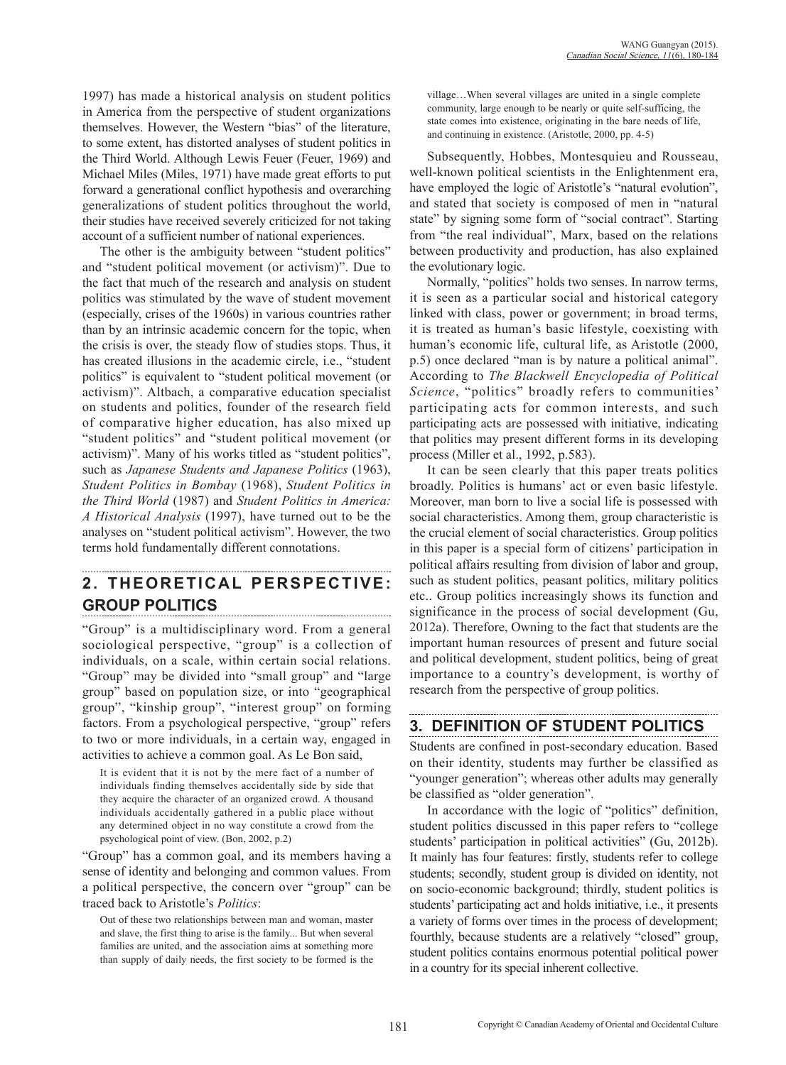1997) has made a historical analysis on student politics in America from the perspective of student organizations themselves. However, the Western "bias" of the literature, to some extent, has distorted analyses of student politics in the Third World. Although Lewis Feuer (Feuer, 1969) and Michael Miles (Miles, 1971) have made great efforts to put forward a generational conflict hypothesis and overarching generalizations of student politics throughout the world, their studies have received severely criticized for not taking account of a sufficient number of national experiences.

The other is the ambiguity between "student politics" and "student political movement (or activism)". Due to the fact that much of the research and analysis on student politics was stimulated by the wave of student movement (especially, crises of the 1960s) in various countries rather than by an intrinsic academic concern for the topic, when the crisis is over, the steady flow of studies stops. Thus, it has created illusions in the academic circle, i.e., "student politics" is equivalent to "student political movement (or activism)". Altbach, a comparative education specialist on students and politics, founder of the research field of comparative higher education, has also mixed up "student politics" and "student political movement (or activism)". Many of his works titled as "student politics", such as *Japanese Students and Japanese Politics* (1963), *Student Politics in Bombay* (1968), *Student Politics in the Third World* (1987) and *Student Politics in America: A Historical Analysis* (1997), have turned out to be the analyses on "student political activism". However, the two terms hold fundamentally different connotations.

# **2. THEORETICAL PERSPECTIVE: GROUP POLITICS**

"Group" is a multidisciplinary word. From a general sociological perspective, "group" is a collection of individuals, on a scale, within certain social relations. "Group" may be divided into "small group" and "large group" based on population size, or into "geographical group", "kinship group", "interest group" on forming factors. From a psychological perspective, "group" refers to two or more individuals, in a certain way, engaged in activities to achieve a common goal. As Le Bon said,

It is evident that it is not by the mere fact of a number of individuals finding themselves accidentally side by side that they acquire the character of an organized crowd. A thousand individuals accidentally gathered in a public place without any determined object in no way constitute a crowd from the psychological point of view. (Bon, 2002, p.2)

"Group" has a common goal, and its members having a sense of identity and belonging and common values. From a political perspective, the concern over "group" can be traced back to Aristotle's *Politics*:

Out of these two relationships between man and woman, master and slave, the first thing to arise is the family... But when several families are united, and the association aims at something more than supply of daily needs, the first society to be formed is the village…When several villages are united in a single complete community, large enough to be nearly or quite self-sufficing, the state comes into existence, originating in the bare needs of life, and continuing in existence. (Aristotle, 2000, pp. 4-5)

Subsequently, Hobbes, Montesquieu and Rousseau, well-known political scientists in the Enlightenment era, have employed the logic of Aristotle's "natural evolution", and stated that society is composed of men in "natural state" by signing some form of "social contract". Starting from "the real individual", Marx, based on the relations between productivity and production, has also explained the evolutionary logic.

Normally, "politics" holds two senses. In narrow terms, it is seen as a particular social and historical category linked with class, power or government; in broad terms, it is treated as human's basic lifestyle, coexisting with human's economic life, cultural life, as Aristotle (2000, p.5) once declared "man is by nature a political animal". According to *The Blackwell Encyclopedia of Political Science*, "politics" broadly refers to communities' participating acts for common interests, and such participating acts are possessed with initiative, indicating that politics may present different forms in its developing process (Miller et al., 1992, p.583).

It can be seen clearly that this paper treats politics broadly. Politics is humans' act or even basic lifestyle. Moreover, man born to live a social life is possessed with social characteristics. Among them, group characteristic is the crucial element of social characteristics. Group politics in this paper is a special form of citizens' participation in political affairs resulting from division of labor and group, such as student politics, peasant politics, military politics etc.. Group politics increasingly shows its function and significance in the process of social development (Gu, 2012a). Therefore, Owning to the fact that students are the important human resources of present and future social and political development, student politics, being of great importance to a country's development, is worthy of research from the perspective of group politics.

### **3. DEFINITION OF STUDENT POLITICS**

Students are confined in post-secondary education. Based on their identity, students may further be classified as "younger generation"; whereas other adults may generally be classified as "older generation".

In accordance with the logic of "politics" definition, student politics discussed in this paper refers to "college students' participation in political activities" (Gu, 2012b). It mainly has four features: firstly, students refer to college students; secondly, student group is divided on identity, not on socio-economic background; thirdly, student politics is students' participating act and holds initiative, i.e., it presents a variety of forms over times in the process of development; fourthly, because students are a relatively "closed" group, student politics contains enormous potential political power in a country for its special inherent collective.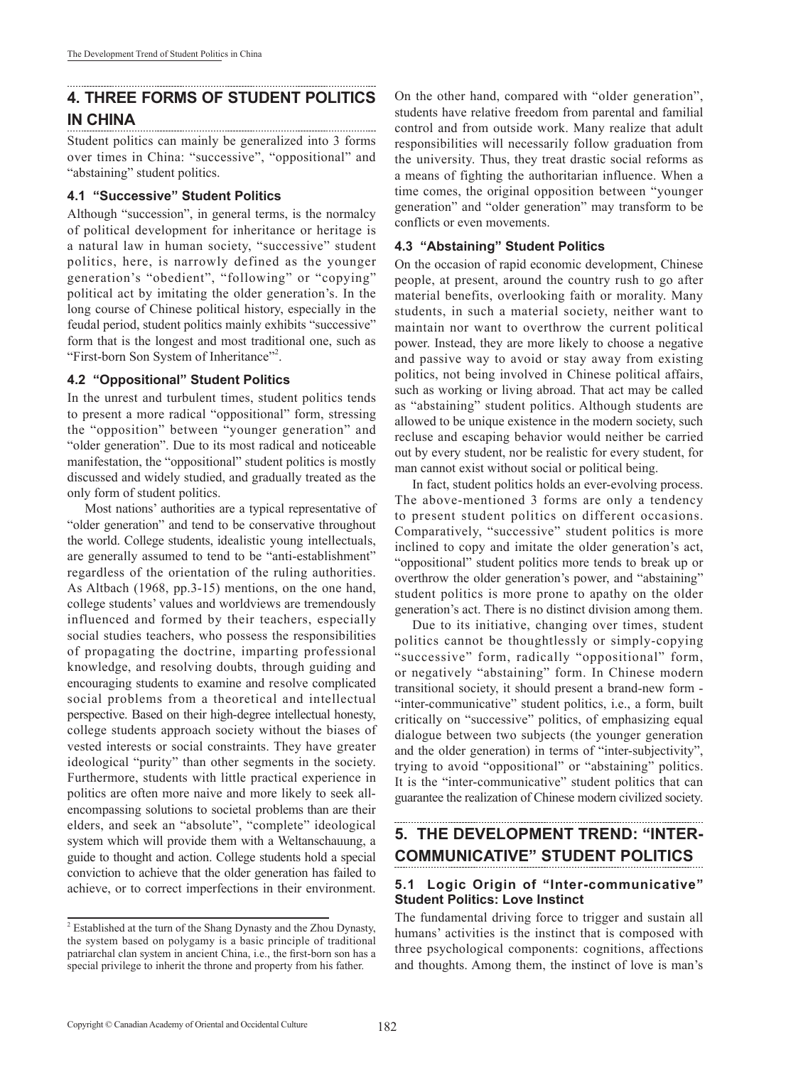# **4. THREE FORMS OF STUDENT POLITICS IN CHINA**

Student politics can mainly be generalized into 3 forms over times in China: "successive", "oppositional" and "abstaining" student politics.

#### **4.1 "Successive" Student Politics**

Although "succession", in general terms, is the normalcy of political development for inheritance or heritage is a natural law in human society, "successive" student politics, here, is narrowly defined as the younger generation's "obedient", "following" or "copying" political act by imitating the older generation's. In the long course of Chinese political history, especially in the feudal period, student politics mainly exhibits "successive" form that is the longest and most traditional one, such as "First-born Son System of Inheritance"<sup>2</sup>.

#### **4.2 "Oppositional" Student Politics**

In the unrest and turbulent times, student politics tends to present a more radical "oppositional" form, stressing the "opposition" between "younger generation" and "older generation". Due to its most radical and noticeable manifestation, the "oppositional" student politics is mostly discussed and widely studied, and gradually treated as the only form of student politics.

Most nations' authorities are a typical representative of "older generation" and tend to be conservative throughout the world. College students, idealistic young intellectuals, are generally assumed to tend to be "anti-establishment" regardless of the orientation of the ruling authorities. As Altbach (1968, pp.3-15) mentions, on the one hand, college students' values and worldviews are tremendously influenced and formed by their teachers, especially social studies teachers, who possess the responsibilities of propagating the doctrine, imparting professional knowledge, and resolving doubts, through guiding and encouraging students to examine and resolve complicated social problems from a theoretical and intellectual perspective. Based on their high-degree intellectual honesty, college students approach society without the biases of vested interests or social constraints. They have greater ideological "purity" than other segments in the society. Furthermore, students with little practical experience in politics are often more naive and more likely to seek allencompassing solutions to societal problems than are their elders, and seek an "absolute", "complete" ideological system which will provide them with a Weltanschauung, a guide to thought and action. College students hold a special conviction to achieve that the older generation has failed to achieve, or to correct imperfections in their environment.

On the other hand, compared with "older generation", students have relative freedom from parental and familial control and from outside work. Many realize that adult responsibilities will necessarily follow graduation from the university. Thus, they treat drastic social reforms as a means of fighting the authoritarian influence. When a time comes, the original opposition between "younger generation" and "older generation" may transform to be conflicts or even movements.

#### **4.3 "Abstaining" Student Politics**

On the occasion of rapid economic development, Chinese people, at present, around the country rush to go after material benefits, overlooking faith or morality. Many students, in such a material society, neither want to maintain nor want to overthrow the current political power. Instead, they are more likely to choose a negative and passive way to avoid or stay away from existing politics, not being involved in Chinese political affairs, such as working or living abroad. That act may be called as "abstaining" student politics. Although students are allowed to be unique existence in the modern society, such recluse and escaping behavior would neither be carried out by every student, nor be realistic for every student, for man cannot exist without social or political being.

In fact, student politics holds an ever-evolving process. The above-mentioned 3 forms are only a tendency to present student politics on different occasions. Comparatively, "successive" student politics is more inclined to copy and imitate the older generation's act, "oppositional" student politics more tends to break up or overthrow the older generation's power, and "abstaining" student politics is more prone to apathy on the older generation's act. There is no distinct division among them.

Due to its initiative, changing over times, student politics cannot be thoughtlessly or simply-copying "successive" form, radically "oppositional" form, or negatively "abstaining" form. In Chinese modern transitional society, it should present a brand-new form - "inter-communicative" student politics, i.e., a form, built critically on "successive" politics, of emphasizing equal dialogue between two subjects (the younger generation and the older generation) in terms of "inter-subjectivity", trying to avoid "oppositional" or "abstaining" politics. It is the "inter-communicative" student politics that can guarantee the realization of Chinese modern civilized society.

# **5. THE DEVELOPMENT TREND: "INTER-COMMUNICATIVE" STUDENT POLITICS**

#### **5.1 Logic Origin of "Inter-communicative" Student Politics: Love Instinct**

The fundamental driving force to trigger and sustain all humans' activities is the instinct that is composed with three psychological components: cognitions, affections and thoughts. Among them, the instinct of love is man's

<sup>&</sup>lt;sup>2</sup> Established at the turn of the Shang Dynasty and the Zhou Dynasty, the system based on polygamy is a basic principle of traditional patriarchal clan system in ancient China, i.e., the first-born son has a special privilege to inherit the throne and property from his father.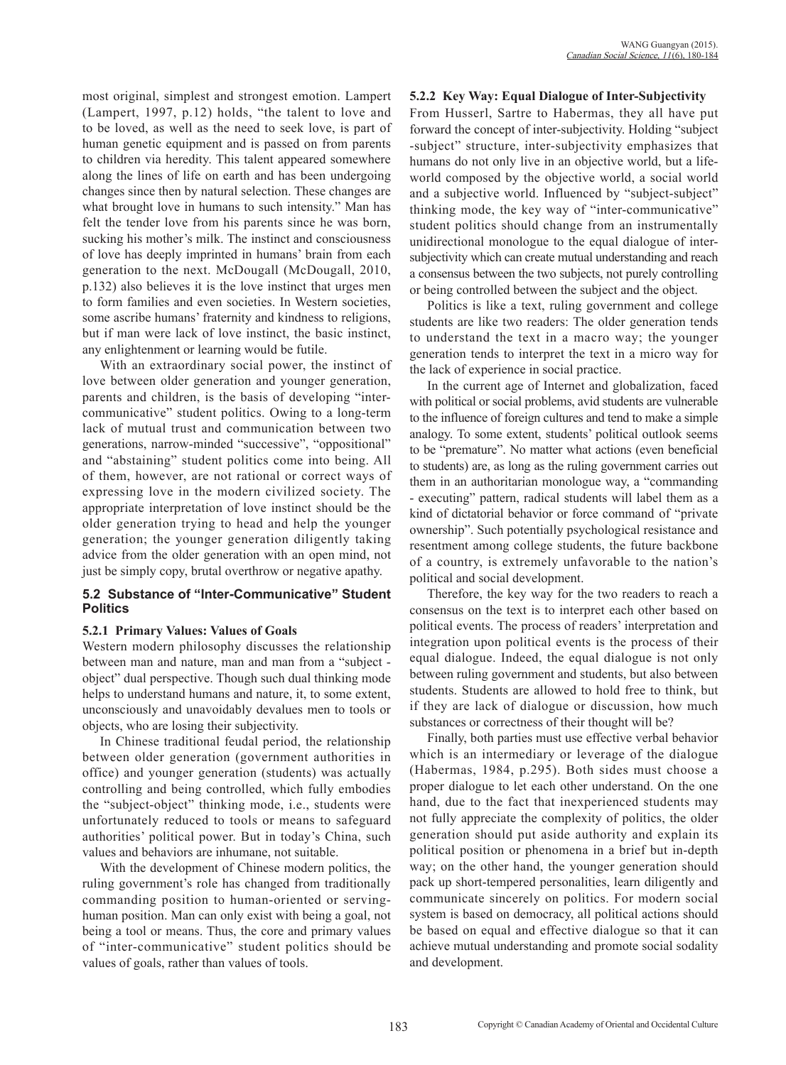most original, simplest and strongest emotion. Lampert (Lampert, 1997, p.12) holds, "the talent to love and to be loved, as well as the need to seek love, is part of human genetic equipment and is passed on from parents to children via heredity. This talent appeared somewhere along the lines of life on earth and has been undergoing changes since then by natural selection. These changes are what brought love in humans to such intensity." Man has felt the tender love from his parents since he was born, sucking his mother's milk. The instinct and consciousness of love has deeply imprinted in humans' brain from each generation to the next. McDougall (McDougall, 2010, p.132) also believes it is the love instinct that urges men to form families and even societies. In Western societies, some ascribe humans' fraternity and kindness to religions, but if man were lack of love instinct, the basic instinct, any enlightenment or learning would be futile.

With an extraordinary social power, the instinct of love between older generation and younger generation, parents and children, is the basis of developing "intercommunicative" student politics. Owing to a long-term lack of mutual trust and communication between two generations, narrow-minded "successive", "oppositional" and "abstaining" student politics come into being. All of them, however, are not rational or correct ways of expressing love in the modern civilized society. The appropriate interpretation of love instinct should be the older generation trying to head and help the younger generation; the younger generation diligently taking advice from the older generation with an open mind, not just be simply copy, brutal overthrow or negative apathy.

#### **5.2 Substance of "Inter-Communicative" Student Politics**

#### **5.2.1 Primary Values: Values of Goals**

Western modern philosophy discusses the relationship between man and nature, man and man from a "subject object" dual perspective. Though such dual thinking mode helps to understand humans and nature, it, to some extent, unconsciously and unavoidably devalues men to tools or objects, who are losing their subjectivity.

In Chinese traditional feudal period, the relationship between older generation (government authorities in office) and younger generation (students) was actually controlling and being controlled, which fully embodies the "subject-object" thinking mode, i.e., students were unfortunately reduced to tools or means to safeguard authorities' political power. But in today's China, such values and behaviors are inhumane, not suitable.

With the development of Chinese modern politics, the ruling government's role has changed from traditionally commanding position to human-oriented or servinghuman position. Man can only exist with being a goal, not being a tool or means. Thus, the core and primary values of "inter-communicative" student politics should be values of goals, rather than values of tools.

#### **5.2.2 Key Way: Equal Dialogue of Inter-Subjectivity**

From Husserl, Sartre to Habermas, they all have put forward the concept of inter-subjectivity. Holding "subject -subject" structure, inter-subjectivity emphasizes that humans do not only live in an objective world, but a lifeworld composed by the objective world, a social world and a subjective world. Influenced by "subject-subject" thinking mode, the key way of "inter-communicative" student politics should change from an instrumentally unidirectional monologue to the equal dialogue of intersubjectivity which can create mutual understanding and reach a consensus between the two subjects, not purely controlling or being controlled between the subject and the object.

Politics is like a text, ruling government and college students are like two readers: The older generation tends to understand the text in a macro way; the younger generation tends to interpret the text in a micro way for the lack of experience in social practice.

In the current age of Internet and globalization, faced with political or social problems, avid students are vulnerable to the influence of foreign cultures and tend to make a simple analogy. To some extent, students' political outlook seems to be "premature". No matter what actions (even beneficial to students) are, as long as the ruling government carries out them in an authoritarian monologue way, a "commanding - executing" pattern, radical students will label them as a kind of dictatorial behavior or force command of "private ownership". Such potentially psychological resistance and resentment among college students, the future backbone of a country, is extremely unfavorable to the nation's political and social development.

Therefore, the key way for the two readers to reach a consensus on the text is to interpret each other based on political events. The process of readers' interpretation and integration upon political events is the process of their equal dialogue. Indeed, the equal dialogue is not only between ruling government and students, but also between students. Students are allowed to hold free to think, but if they are lack of dialogue or discussion, how much substances or correctness of their thought will be?

Finally, both parties must use effective verbal behavior which is an intermediary or leverage of the dialogue (Habermas, 1984, p.295). Both sides must choose a proper dialogue to let each other understand. On the one hand, due to the fact that inexperienced students may not fully appreciate the complexity of politics, the older generation should put aside authority and explain its political position or phenomena in a brief but in-depth way; on the other hand, the younger generation should pack up short-tempered personalities, learn diligently and communicate sincerely on politics. For modern social system is based on democracy, all political actions should be based on equal and effective dialogue so that it can achieve mutual understanding and promote social sodality and development.